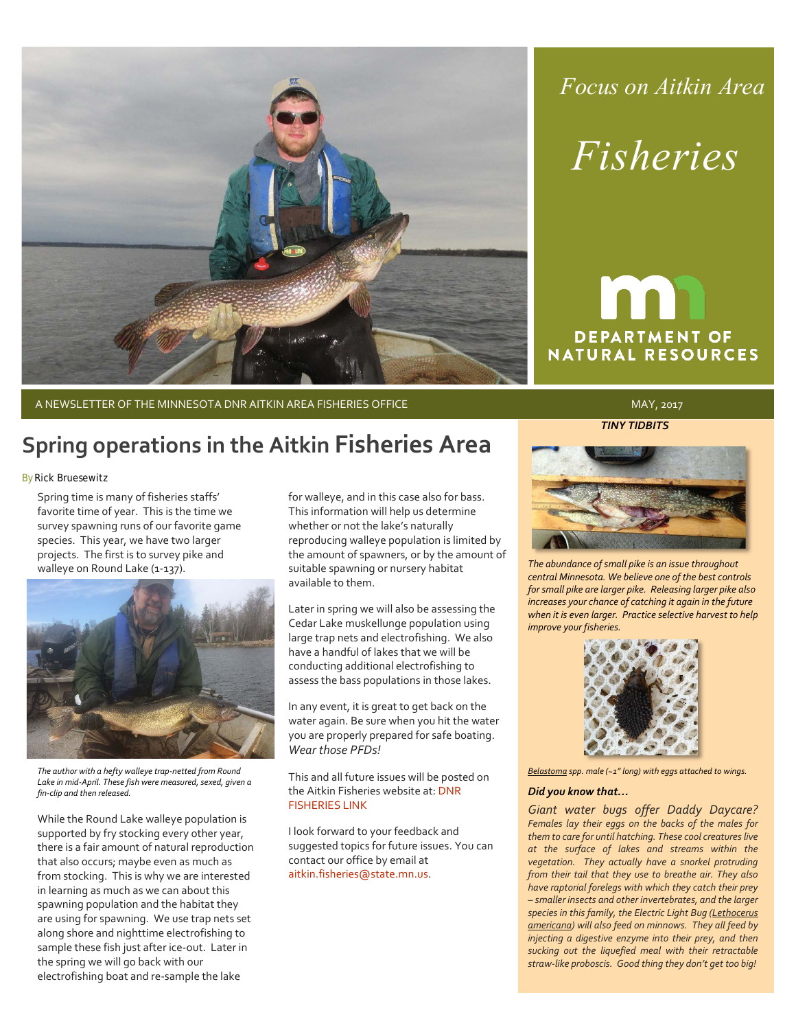

# *Focus on Aitkin Area*

# *Fisheries*

# **DEPARTMENT OF NATURAL RESOURCES**

A NEWSLETTER OF THE MINNESOTA DNR AITKIN AREA FISHERIES OFFICE And the material may a strategy of the MAY, 2017

## **Spring operations in the Aitkin Fisheries Area**

#### By Rick Bruesewitz

Spring time is many of fisheries staffs' favorite time of year. This is the time we survey spawning runs of our favorite game species. This year, we have two larger projects. The first is to survey pike and walleye on Round Lake (1-137).



*The author with a hefty walleye trap-netted from Round Lake in mid-April. These fish were measured, sexed, given a fin-clip and then released.*

While the Round Lake walleye population is supported by fry stocking every other year, there is a fair amount of natural reproduction that also occurs; maybe even as much as from stocking. This is why we are interested in learning as much as we can about this spawning population and the habitat they are using for spawning. We use trap nets set along shore and nighttime electrofishing to sample these fish just after ice-out. Later in the spring we will go back with our electrofishing boat and re-sample the lake

for walleye, and in this case also for bass. This information will help us determine whether or not the lake's naturally reproducing walleye population is limited by the amount of spawners, or by the amount of suitable spawning or nursery habitat available to them.

Later in spring we will also be assessing the Cedar Lake muskellunge population using large trap nets and electrofishing. We also have a handful of lakes that we will be conducting additional electrofishing to assess the bass populations in those lakes.

In any event, it is great to get back on the water again. Be sure when you hit the water you are properly prepared for safe boating. *Wear those PFDs!*

This and all future issues will be posted on the Aitkin Fisheries website at: [DNR](http://www.dnr.state.mn.us/areas/fisheries/aitkin/index.html)  [FISHERIES LINK](http://www.dnr.state.mn.us/areas/fisheries/aitkin/index.html)

I look forward to your feedback and suggested topics for future issues. You can contact our office by email at [aitkin.fisheries@state.mn.us.](mailto:aitkin.fisheries@state.mn.us)

*TINY TIDBITS*



*The abundance of small pike is an issue throughout central Minnesota. We believe one of the best controls for small pike are larger pike. Releasing larger pike also increases your chance of catching it again in the future when it is even larger. Practice selective harvest to help improve your fisheries.*



*Belastoma spp. male (~1" long) with eggs attached to wings.*

#### *Did you know that…*

*Giant water bugs offer Daddy Daycare? Females lay their eggs on the backs of the males for them to care for until hatching. These cool creatures live at the surface of lakes and streams within the vegetation. They actually have a snorkel protruding from their tail that they use to breathe air. They also have raptorial forelegs with which they catch their prey – smaller insects and other invertebrates, and the larger species in this family, the Electric Light Bug (Lethocerus americana) will also feed on minnows. They all feed by injecting a digestive enzyme into their prey, and then sucking out the liquefied meal with their retractable straw-like proboscis. Good thing they don't get too big!*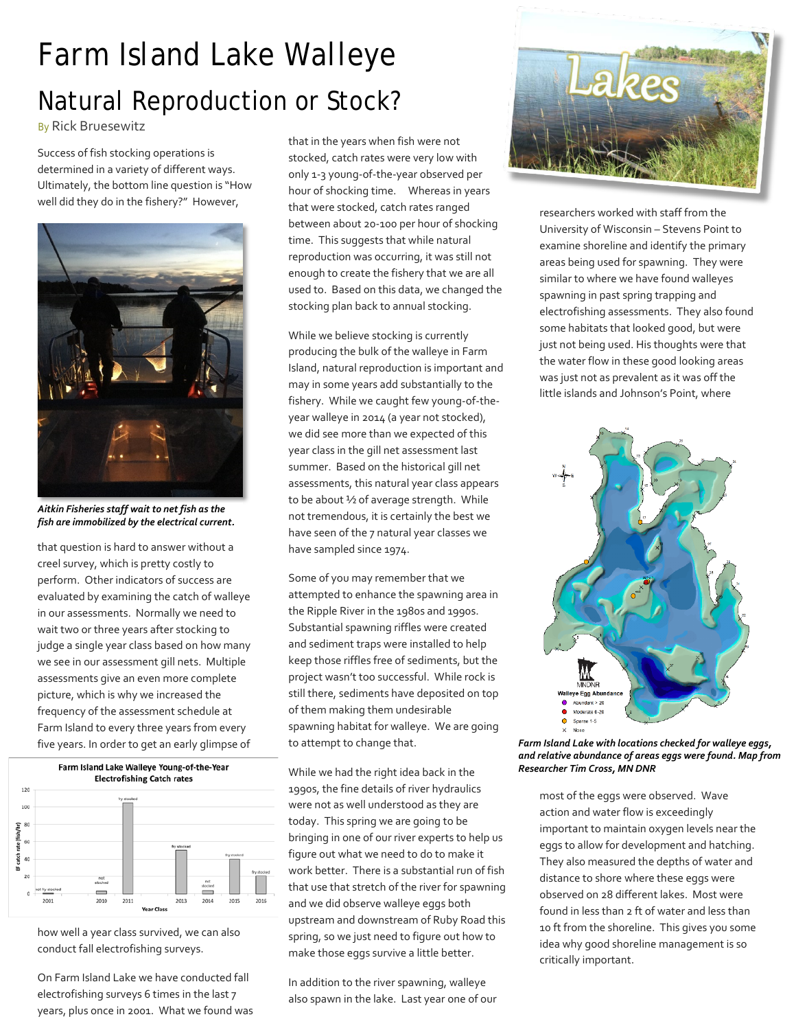## *Farm Island Lake Walleye* Natural Reproduction or Stock?

By Rick Bruesewitz

Success of fish stocking operations is determined in a variety of different ways. Ultimately, the bottom line question is "How well did they do in the fishery?" However,



*Aitkin Fisheries staff wait to net fish as the fish are immobilized by the electrical current.*

that question is hard to answer without a creel survey, which is pretty costly to perform. Other indicators of success are evaluated by examining the catch of walleye in our assessments. Normally we need to wait two or three years after stocking to judge a single year class based on how many we see in our assessment gill nets. Multiple assessments give an even more complete picture, which is why we increased the frequency of the assessment schedule at Farm Island to every three years from every five years. In order to get an early glimpse of



how well a year class survived, we can also conduct fall electrofishing surveys.

On Farm Island Lake we have conducted fall electrofishing surveys 6 times in the last 7 years, plus once in 2001. What we found was

that in the years when fish were not stocked, catch rates were very low with only 1-3 young-of-the-year observed per hour of shocking time. Whereas in years that were stocked, catch rates ranged between about 20-100 per hour of shocking time. This suggests that while natural reproduction was occurring, it was still not enough to create the fishery that we are all used to. Based on this data, we changed the stocking plan back to annual stocking.

While we believe stocking is currently producing the bulk of the walleye in Farm Island, natural reproduction is important and may in some years add substantially to the fishery. While we caught few young-of-theyear walleye in 2014 (a year not stocked), we did see more than we expected of this year class in the gill net assessment last summer. Based on the historical gill net assessments, this natural year class appears to be about ½ of average strength. While not tremendous, it is certainly the best we have seen of the 7 natural year classes we have sampled since 1974.

Some of you may remember that we attempted to enhance the spawning area in the Ripple River in the 1980s and 1990s. Substantial spawning riffles were created and sediment traps were installed to help keep those riffles free of sediments, but the project wasn't too successful. While rock is still there, sediments have deposited on top of them making them undesirable spawning habitat for walleye. We are going to attempt to change that.

While we had the right idea back in the 1990s, the fine details of river hydraulics were not as well understood as they are today. This spring we are going to be bringing in one of our river experts to help us figure out what we need to do to make it work better. There is a substantial run of fish that use that stretch of the river for spawning and we did observe walleye eggs both upstream and downstream of Ruby Road this spring, so we just need to figure out how to make those eggs survive a little better.

In addition to the river spawning, walleye also spawn in the lake. Last year one of our



researchers worked with staff from the University of Wisconsin – Stevens Point to examine shoreline and identify the primary areas being used for spawning. They were similar to where we have found walleyes spawning in past spring trapping and electrofishing assessments. They also found some habitats that looked good, but were just not being used. His thoughts were that the water flow in these good looking areas was just not as prevalent as it was off the little islands and Johnson's Point, where



*Farm Island Lake with locations checked for walleye eggs, and relative abundance of areas eggs were found. Map from Researcher Tim Cross, MN DNR*

most of the eggs were observed. Wave action and water flow is exceedingly important to maintain oxygen levels near the eggs to allow for development and hatching. They also measured the depths of water and distance to shore where these eggs were observed on 28 different lakes. Most were found in less than 2 ft of water and less than 10 ft from the shoreline. This gives you some idea why good shoreline management is so critically important.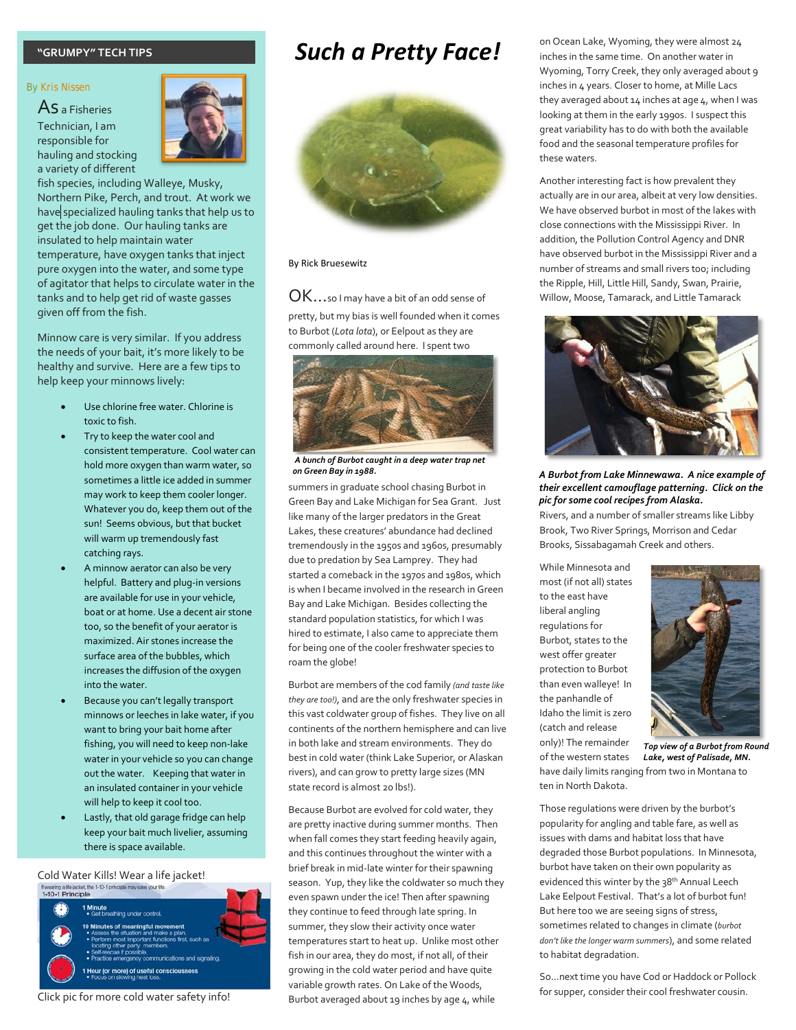#### **"GRUMPY" TECH TIPS**

#### By Kris Nissen

As a Fisheries Technician, I am responsible for hauling and stocking a variety of different



fish species, including Walleye, Musky, Northern Pike, Perch, and trout. At work we have specialized hauling tanks that help us to get the job done. Our hauling tanks are insulated to help maintain water temperature, have oxygen tanks that inject pure oxygen into the water, and some type of agitator that helps to circulate water in the tanks and to help get rid of waste gasses given off from the fish.

Minnow care is very similar. If you address the needs of your bait, it's more likely to be healthy and survive. Here are a few tips to help keep your minnows lively:

- Use chlorine free water. Chlorine is toxic to fish.
- Try to keep the water cool and consistent temperature. Cool water can hold more oxygen than warm water, so sometimes a little ice added in summer may work to keep them cooler longer. Whatever you do, keep them out of the sun! Seems obvious, but that bucket will warm up tremendously fast catching rays.
- A minnow aerator can also be very helpful. Battery and plug-in versions are available for use in your vehicle, boat or at home. Use a decent air stone too, so the benefit of your aerator is maximized. Air stones increase the surface area of the bubbles, which increases the diffusion of the oxygen into the water.
- Because you can't legally transport minnows or leeches in lake water, if you want to bring your bait home after fishing, you will need to keep non-lake water in your vehicle so you can change out the water. Keeping that water in an insulated container in your vehicle will help to keep it cool too.
- Lastly, that old garage fridge can help keep your bait much livelier, assuming there is space available.

Cold Water Kills! Wear a life jacket!<br>
Hwearig a life jacket.the 1-10-1 principle may sawe your life:<br>
1-10-1 Principle



## *Such a Pretty Face!*



#### By Rick Bruesewitz

OK...so I may have a bit of an odd sense of

pretty, but my bias is well founded when it comes to Burbot (*Lota lota*), or Eelpout as they are commonly called around here. I spent two



*A bunch of Burbot caught in a deep water trap net on Green Bay in 1988.*

summers in graduate school chasing Burbot in Green Bay and Lake Michigan for Sea Grant. Just like many of the larger predators in the Great Lakes, these creatures' abundance had declined tremendously in the 1950s and 1960s, presumably due to predation by Sea Lamprey. They had started a comeback in the 1970s and 1980s, which is when I became involved in the research in Green Bay and Lake Michigan. Besides collecting the standard population statistics, for which I was hired to estimate, I also came to appreciate them for being one of the cooler freshwater species to roam the globe!

Burbot are members of the cod family *(and taste like they are too!)*, and are the only freshwater species in this vast coldwater group of fishes. They live on all continents of the northern hemisphere and can live in both lake and stream environments. They do best in cold water (think Lake Superior, or Alaskan rivers), and can grow to pretty large sizes (MN state record is almost 20 lbs!).

Because Burbot are evolved for cold water, they are pretty inactive during summer months. Then when fall comes they start feeding heavily again, and this continues throughout the winter with a brief break in mid-late winter for their spawning season. Yup, they like the coldwater so much they even spawn under the ice! Then after spawning they continue to feed through late spring. In summer, they slow their activity once water temperatures start to heat up. Unlike most other fish in our area, they do most, if not all, of their growing in the cold water period and have quite variable growth rates. On Lake of the Woods, Burbot averaged about 19 inches by age 4, while

on Ocean Lake, Wyoming, they were almost 24 inches in the same time. On another water in Wyoming, Torry Creek, they only averaged about 9 inches in 4 years. Closer to home, at Mille Lacs they averaged about  $14$  inches at age  $4$ , when I was looking at them in the early 1990s. I suspect this great variability has to do with both the available food and the seasonal temperature profiles for these waters.

Another interesting fact is how prevalent they actually are in our area, albeit at very low densities. We have observed burbot in most of the lakes with close connections with the Mississippi River. In addition, the Pollution Control Agency and DNR have observed burbot in the Mississippi River and a number of streams and small rivers too; including the Ripple, Hill, Little Hill, Sandy, Swan, Prairie, Willow, Moose, Tamarack, and Little Tamarack



#### *A Burbot from Lake Minnewawa. A nice example of their excellent camouflage patterning. Click on the pic for some cool recipes from Alaska.*

Rivers, and a number of smaller streams like Libby Brook, Two River Springs, Morrison and Cedar Brooks, Sissabagamah Creek and others.

While Minnesota and most (if not all) states to the east have liberal angling regulations for Burbot, states to the west offer greater protection to Burbot than even walleye! In the panhandle of Idaho the limit is zero (catch and release only)! The remainder of the western states

ten in North Dakota.



have daily limits ranging from two in Montana to *Top view of a Burbot from Round Lake, west of Palisade, MN.*

Those regulations were driven by the burbot's popularity for angling and table fare, as well as issues with dams and habitat loss that have degraded those Burbot populations. In Minnesota, burbot have taken on their own popularity as evidenced this winter by the 38<sup>th</sup> Annual Leech Lake Eelpout Festival. That's a lot of burbot fun! But here too we are seeing signs of stress, sometimes related to changes in climate (*burbot don't like the longer warm summers*), and some related to habitat degradation.

So…next time you have Cod or Haddock or Pollock for supper, consider their cool freshwater cousin.